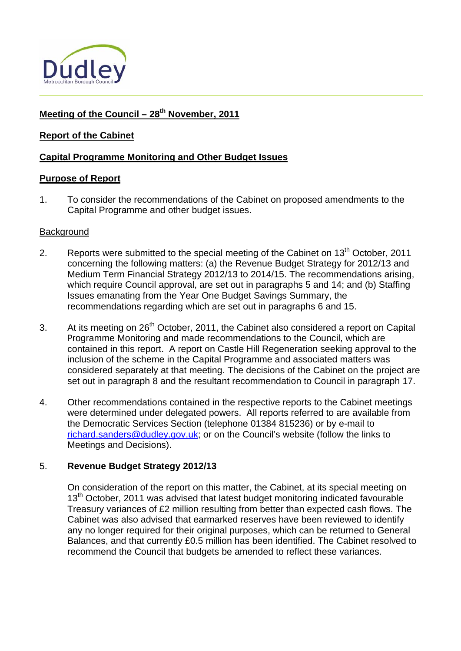

# Meeting of the Council - 28<sup>th</sup> November, 2011

## **Report of the Cabinet**

## **Capital Programme Monitoring and Other Budget Issues**

#### **Purpose of Report**

1. To consider the recommendations of the Cabinet on proposed amendments to the Capital Programme and other budget issues.

#### **Background**

- 2. Reports were submitted to the special meeting of the Cabinet on  $13<sup>th</sup>$  October, 2011 concerning the following matters: (a) the Revenue Budget Strategy for 2012/13 and Medium Term Financial Strategy 2012/13 to 2014/15. The recommendations arising, which require Council approval, are set out in paragraphs 5 and 14; and (b) Staffing Issues emanating from the Year One Budget Savings Summary, the recommendations regarding which are set out in paragraphs 6 and 15.
- 3. At its meeting on 26<sup>th</sup> October, 2011, the Cabinet also considered a report on Capital Programme Monitoring and made recommendations to the Council, which are contained in this report. A report on Castle Hill Regeneration seeking approval to the inclusion of the scheme in the Capital Programme and associated matters was considered separately at that meeting. The decisions of the Cabinet on the project are set out in paragraph 8 and the resultant recommendation to Council in paragraph 17.
- 4. Other recommendations contained in the respective reports to the Cabinet meetings were determined under delegated powers. All reports referred to are available from the Democratic Services Section (telephone 01384 815236) or by e-mail to [richard.sanders@dudley.gov.uk;](mailto:richard.sanders@dudley.gov.uk) or on the Council's website (follow the links to Meetings and Decisions).

#### 5. **Revenue Budget Strategy 2012/13**

On consideration of the report on this matter, the Cabinet, at its special meeting on 13<sup>th</sup> October, 2011 was advised that latest budget monitoring indicated favourable Treasury variances of £2 million resulting from better than expected cash flows. The Cabinet was also advised that earmarked reserves have been reviewed to identify any no longer required for their original purposes, which can be returned to General Balances, and that currently £0.5 million has been identified. The Cabinet resolved to recommend the Council that budgets be amended to reflect these variances.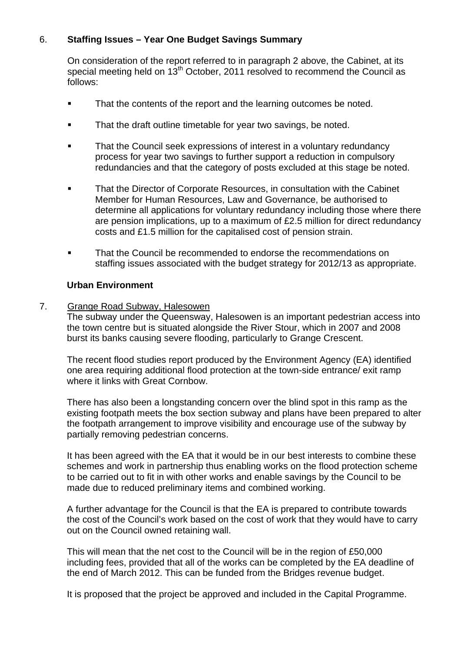# 6. **Staffing Issues – Year One Budget Savings Summary**

On consideration of the report referred to in paragraph 2 above, the Cabinet, at its special meeting held on  $13<sup>th</sup>$  October, 2011 resolved to recommend the Council as follows:

- That the contents of the report and the learning outcomes be noted.
- That the draft outline timetable for year two savings, be noted.
- That the Council seek expressions of interest in a voluntary redundancy process for year two savings to further support a reduction in compulsory redundancies and that the category of posts excluded at this stage be noted.
- That the Director of Corporate Resources, in consultation with the Cabinet Member for Human Resources, Law and Governance, be authorised to determine all applications for voluntary redundancy including those where there are pension implications, up to a maximum of £2.5 million for direct redundancy costs and £1.5 million for the capitalised cost of pension strain.
- That the Council be recommended to endorse the recommendations on staffing issues associated with the budget strategy for 2012/13 as appropriate.

#### **Urban Environment**

7. Grange Road Subway, Halesowen

 The subway under the Queensway, Halesowen is an important pedestrian access into the town centre but is situated alongside the River Stour, which in 2007 and 2008 burst its banks causing severe flooding, particularly to Grange Crescent.

The recent flood studies report produced by the Environment Agency (EA) identified one area requiring additional flood protection at the town-side entrance/ exit ramp where it links with Great Cornbow.

There has also been a longstanding concern over the blind spot in this ramp as the existing footpath meets the box section subway and plans have been prepared to alter the footpath arrangement to improve visibility and encourage use of the subway by partially removing pedestrian concerns.

It has been agreed with the EA that it would be in our best interests to combine these schemes and work in partnership thus enabling works on the flood protection scheme to be carried out to fit in with other works and enable savings by the Council to be made due to reduced preliminary items and combined working.

A further advantage for the Council is that the EA is prepared to contribute towards the cost of the Council's work based on the cost of work that they would have to carry out on the Council owned retaining wall.

This will mean that the net cost to the Council will be in the region of £50,000 including fees, provided that all of the works can be completed by the EA deadline of the end of March 2012. This can be funded from the Bridges revenue budget.

It is proposed that the project be approved and included in the Capital Programme.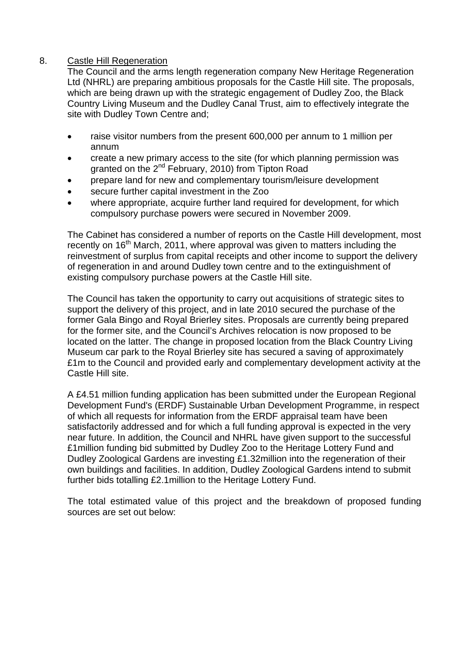#### 8. Castle Hill Regeneration

The Council and the arms length regeneration company New Heritage Regeneration Ltd (NHRL) are preparing ambitious proposals for the Castle Hill site. The proposals, which are being drawn up with the strategic engagement of Dudley Zoo, the Black Country Living Museum and the Dudley Canal Trust, aim to effectively integrate the site with Dudley Town Centre and;

- raise visitor numbers from the present 600,000 per annum to 1 million per annum
- create a new primary access to the site (for which planning permission was granted on the 2<sup>nd</sup> February, 2010) from Tipton Road
- prepare land for new and complementary tourism/leisure development
- secure further capital investment in the Zoo
- where appropriate, acquire further land required for development, for which compulsory purchase powers were secured in November 2009.

The Cabinet has considered a number of reports on the Castle Hill development, most recently on 16<sup>th</sup> March, 2011, where approval was given to matters including the reinvestment of surplus from capital receipts and other income to support the delivery of regeneration in and around Dudley town centre and to the extinguishment of existing compulsory purchase powers at the Castle Hill site.

The Council has taken the opportunity to carry out acquisitions of strategic sites to support the delivery of this project, and in late 2010 secured the purchase of the former Gala Bingo and Royal Brierley sites. Proposals are currently being prepared for the former site, and the Council's Archives relocation is now proposed to be located on the latter. The change in proposed location from the Black Country Living Museum car park to the Royal Brierley site has secured a saving of approximately £1m to the Council and provided early and complementary development activity at the Castle Hill site.

A £4.51 million funding application has been submitted under the European Regional Development Fund's (ERDF) Sustainable Urban Development Programme, in respect of which all requests for information from the ERDF appraisal team have been satisfactorily addressed and for which a full funding approval is expected in the very near future. In addition, the Council and NHRL have given support to the successful £1million funding bid submitted by Dudley Zoo to the Heritage Lottery Fund and Dudley Zoological Gardens are investing £1.32million into the regeneration of their own buildings and facilities. In addition, Dudley Zoological Gardens intend to submit further bids totalling £2.1million to the Heritage Lottery Fund.

The total estimated value of this project and the breakdown of proposed funding sources are set out below: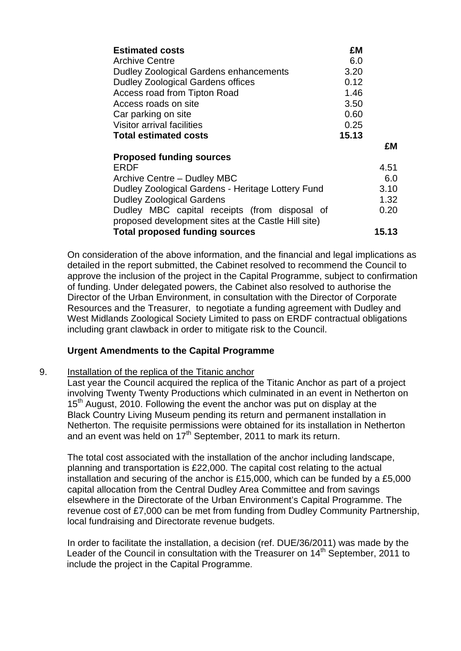| <b>Estimated costs</b>                                                                               | £M    |       |
|------------------------------------------------------------------------------------------------------|-------|-------|
| <b>Archive Centre</b>                                                                                | 6.0   |       |
| Dudley Zoological Gardens enhancements                                                               | 3.20  |       |
| <b>Dudley Zoological Gardens offices</b>                                                             | 0.12  |       |
| <b>Access road from Tipton Road</b>                                                                  | 1.46  |       |
| Access roads on site                                                                                 | 3.50  |       |
| Car parking on site                                                                                  | 0.60  |       |
| <b>Visitor arrival facilities</b>                                                                    | 0.25  |       |
| <b>Total estimated costs</b>                                                                         | 15.13 |       |
|                                                                                                      |       | £M    |
| <b>Proposed funding sources</b>                                                                      |       |       |
| ERDF                                                                                                 |       | 4.51  |
| Archive Centre - Dudley MBC                                                                          |       | 6.0   |
| Dudley Zoological Gardens - Heritage Lottery Fund                                                    |       | 3.10  |
| <b>Dudley Zoological Gardens</b>                                                                     |       | 1.32  |
| Dudley MBC capital receipts (from disposal of<br>proposed development sites at the Castle Hill site) |       | 0.20  |
| <b>Total proposed funding sources</b>                                                                |       | 15.13 |

On consideration of the above information, and the financial and legal implications as detailed in the report submitted, the Cabinet resolved to recommend the Council to approve the inclusion of the project in the Capital Programme, subject to confirmation of funding. Under delegated powers, the Cabinet also resolved to authorise the Director of the Urban Environment, in consultation with the Director of Corporate Resources and the Treasurer, to negotiate a funding agreement with Dudley and West Midlands Zoological Society Limited to pass on ERDF contractual obligations including grant clawback in order to mitigate risk to the Council.

#### **Urgent Amendments to the Capital Programme**

#### 9. Installation of the replica of the Titanic anchor

Last year the Council acquired the replica of the Titanic Anchor as part of a project involving Twenty Twenty Productions which culminated in an event in Netherton on 15<sup>th</sup> August, 2010. Following the event the anchor was put on display at the Black Country Living Museum pending its return and permanent installation in Netherton. The requisite permissions were obtained for its installation in Netherton and an event was held on  $17<sup>th</sup>$  September, 2011 to mark its return.

The total cost associated with the installation of the anchor including landscape, planning and transportation is £22,000. The capital cost relating to the actual installation and securing of the anchor is £15,000, which can be funded by a £5,000 capital allocation from the Central Dudley Area Committee and from savings elsewhere in the Directorate of the Urban Environment's Capital Programme. The revenue cost of £7,000 can be met from funding from Dudley Community Partnership, local fundraising and Directorate revenue budgets.

In order to facilitate the installation, a decision (ref. DUE/36/2011) was made by the Leader of the Council in consultation with the Treasurer on  $14<sup>th</sup>$  September, 2011 to include the project in the Capital Programme.